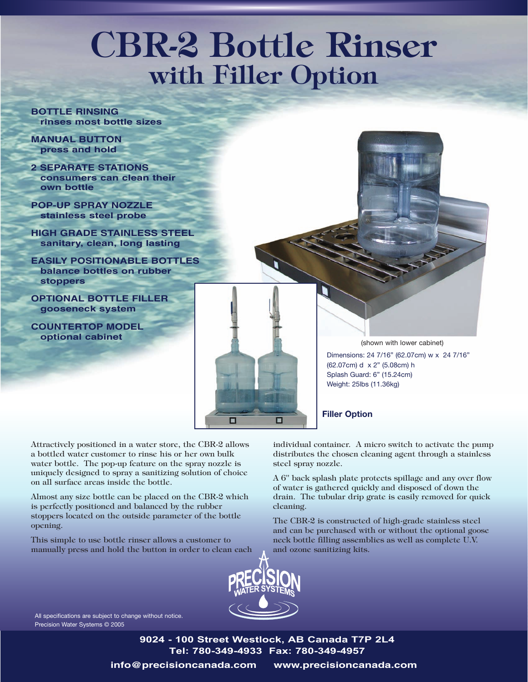## **CBR-2 Bottle Rinser with Filler Option**

**BOTTLE RINSING rinses most bottle sizes**

**MANUAL BUTTON press and hold**

**2 SEPARATE STATIONS consumers can clean their own bottle**

**POP-UP SPRAY NOZZLE stainless steel probe**

**HIGH GRADE STAINLESS STEEL sanitary, clean, long lasting**

**EASILY POSITIONABLE BOTTLES balance bottles on rubber stoppers**

**OPTIONAL BOTTLE FILLER gooseneck system**

**COUNTERTOP MODEL optional cabinet**

(shown with lower cabinet) Dimensions: 24 7/16" (62.07cm) w x 24 7/16" (62.07cm) d x 2" (5.08cm) h Splash Guard: 6" (15.24cm) Weight: 25lbs (11.36kg)

**Filler Option**

Attractively positioned in a water store, the CBR-2 allows a bottled water customer to rinse his or her own bulk water bottle. The pop-up feature on the spray nozzle is uniquely designed to spray a sanitizing solution of choice on all surface areas inside the bottle.

Almost any size bottle can be placed on the CBR-2 which is perfectly positioned and balanced by the rubber stoppers located on the outside parameter of the bottle opening.

This simple to use bottle rinser allows a customer to manually press and hold the button in order to clean each individual container. A micro switch to activate the pump distributes the chosen cleaning agent through a stainless steel spray nozzle.

A 6" back splash plate protects spillage and any over flow of water is gathered quickly and disposed of down the drain. The tubular drip grate is easily removed for quick cleaning.

The CBR-2 is constructed of high-grade stainless steel and can be purchased with or without the optional goose neck bottle filling assemblies as well as complete U.V. and ozone sanitizing kits.



□

□

All specifications are subject to change without notice. Precision Water Systems © 2005

> **9024 - 100 Street Westlock, AB Canada T7P 2L4 Tel: 780-349-4933 Fax: 780-349-4957**

**info@precisioncanada.com www.precisioncanada.com**